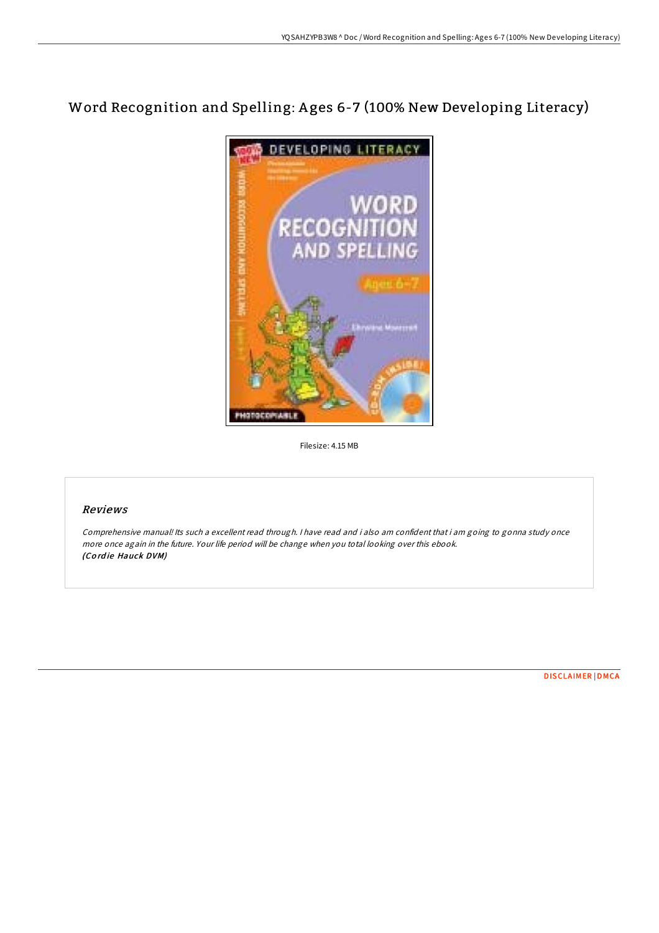## Word Recognition and Spelling: A ges 6-7 (100% New Developing Literacy)



Filesize: 4.15 MB

## Reviews

Comprehensive manual! Its such <sup>a</sup> excellent read through. <sup>I</sup> have read and i also am confident that i am going to gonna study once more once again in the future. Your life period will be change when you total looking over this ebook. (Co rd ie Hauck DVM)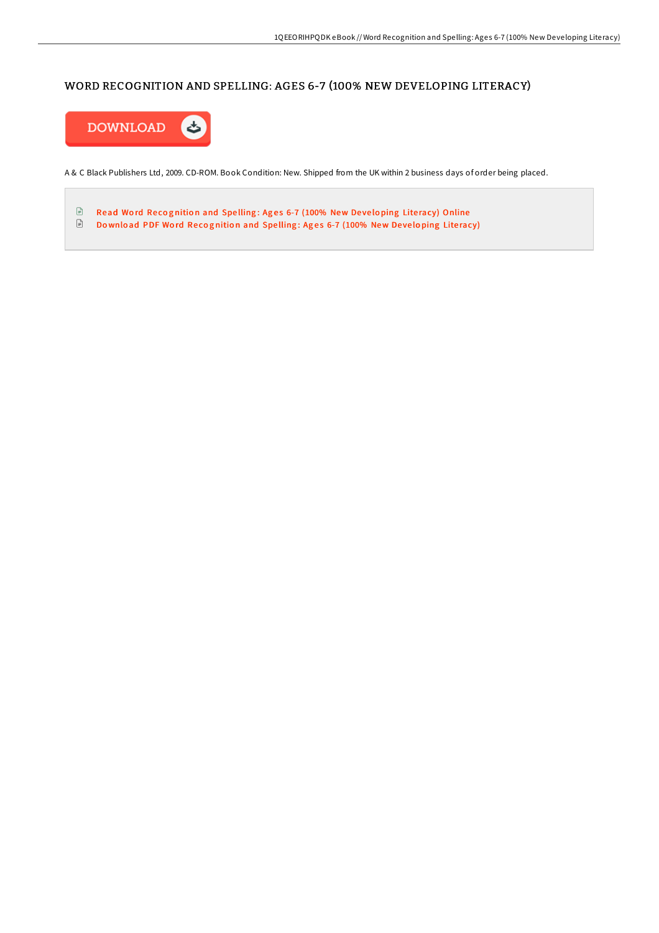## WORD RECOGNITION AND SPELLING: AGES 6-7 (100% NEW DEVELOPING LITERACY)



A & C Black Publishers Ltd, 2009. CD-ROM. Book Condition: New. Shipped from the UK within 2 business days of order being placed.

 $\textcolor{red}{\blacksquare}$ Read Word Recognition and Spelling: Ages 6-7 (100% New Developing Literacy) [Online](http://almighty24.tech/word-recognition-and-spelling-ages-6-7-100-new-d.html) Download PDF Word Recognition and Spelling: Ages 6-7 [\(100%](http://almighty24.tech/word-recognition-and-spelling-ages-6-7-100-new-d.html) New Developing Literacy)